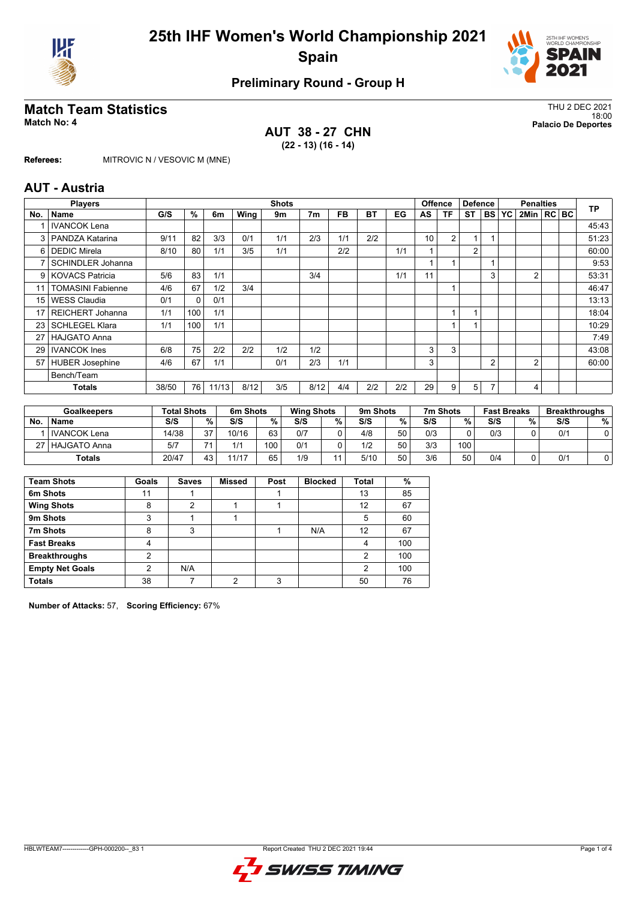



### **Preliminary Round - Group H**

# **Match Team Statistics** Thu 2 DEC 2021

**AUT 38 - 27 CHN (22 - 13) (16 - 14)**

18:00 **Match No: 4 Palacio De Deportes**

**Referees:** MITROVIC N / VESOVIC M (MNE)

#### **AUT - Austria**

|                 | <b>Shots</b><br><b>Players</b> |       |          |       |      |     |                |     |     | <b>Offence</b> |                 |                | <b>Defence</b><br><b>Penalties</b> |                |    | <b>TP</b>        |  |       |
|-----------------|--------------------------------|-------|----------|-------|------|-----|----------------|-----|-----|----------------|-----------------|----------------|------------------------------------|----------------|----|------------------|--|-------|
| No.             | <b>Name</b>                    | G/S   | %        | 6m    | Wing | 9m  | 7 <sub>m</sub> | FB  | BT  | EG             | AS              | ΤF             | <b>ST</b>                          | <b>BS</b>      | YC | $2$ Min $ RC BC$ |  |       |
|                 | <b>IVANCOK Lena</b>            |       |          |       |      |     |                |     |     |                |                 |                |                                    |                |    |                  |  | 45:43 |
|                 | 3   PANDZA Katarina            | 9/11  | 82       | 3/3   | 0/1  | 1/1 | 2/3            | 1/1 | 2/2 |                | 10 <sup>°</sup> | $\overline{2}$ | 1                                  |                |    |                  |  | 51:23 |
| 61              | <b>DEDIC Mirela</b>            | 8/10  | 80       | 1/1   | 3/5  | 1/1 |                | 2/2 |     | 1/1            |                 |                | $\overline{2}$                     |                |    |                  |  | 60:00 |
| 7               | <b>SCHINDLER Johanna</b>       |       |          |       |      |     |                |     |     |                |                 |                |                                    |                |    |                  |  | 9:53  |
|                 | 9 KOVACS Patricia              | 5/6   | 83       | 1/1   |      |     | 3/4            |     |     | 1/1            | 11              |                |                                    | 3              |    | $\overline{2}$   |  | 53:31 |
| 11              | <b>TOMASINI Fabienne</b>       | 4/6   | 67       | 1/2   | 3/4  |     |                |     |     |                |                 |                |                                    |                |    |                  |  | 46:47 |
| 15 <sup>1</sup> | <b>WESS Claudia</b>            | 0/1   | $\Omega$ | 0/1   |      |     |                |     |     |                |                 |                |                                    |                |    |                  |  | 13:13 |
| 17              | <b>REICHERT Johanna</b>        | 1/1   | 100      | 1/1   |      |     |                |     |     |                |                 |                |                                    |                |    |                  |  | 18:04 |
| 23              | l SCHLEGEL Klara               | 1/1   | 100      | 1/1   |      |     |                |     |     |                |                 |                |                                    |                |    |                  |  | 10:29 |
| 27              | <b>HAJGATO Anna</b>            |       |          |       |      |     |                |     |     |                |                 |                |                                    |                |    |                  |  | 7:49  |
| 29              | <b>IVANCOK</b> Ines            | 6/8   | 75       | 2/2   | 2/2  | 1/2 | 1/2            |     |     |                | 3               | 3              |                                    |                |    |                  |  | 43:08 |
| 57              | HUBER Josephine                | 4/6   | 67       | 1/1   |      | 0/1 | 2/3            | 1/1 |     |                | 3               |                |                                    | $\overline{2}$ |    | 2                |  | 60:00 |
|                 | Bench/Team                     |       |          |       |      |     |                |     |     |                |                 |                |                                    |                |    |                  |  |       |
|                 | Totals                         | 38/50 | 76       | 11/13 | 8/12 | 3/5 | 8/12           | 4/4 | 2/2 | 2/2            | 29              | 9              | 5                                  |                |    | 4                |  |       |
|                 |                                |       |          |       |      |     |                |     |     |                |                 |                |                                    |                |    |                  |  |       |

| <b>Goalkeepers</b> |                | <b>Total Shots</b> |     | 6m Shots |                  | <b>Wing Shots</b> |   | 9m Shots |    | 7m Shots |     | <b>Fast Breaks</b> |   | <b>Breakthroughs</b> |   |
|--------------------|----------------|--------------------|-----|----------|------------------|-------------------|---|----------|----|----------|-----|--------------------|---|----------------------|---|
| <b>No</b>          | <b>Name</b>    | S/S                | %   | S/S      | %                | S/S               | % | S/S      | %  | S/S      | %   | S/S                | % | S/S                  | % |
|                    | l IVANCOK Lena | 14/38              | 37  | 10/16    | 63               | 0/7               |   | 4/8      | 50 | 0/3      | ∩   | 0/3                |   | 0/1                  |   |
| 27 I               | l HAJGATO Anna | 5/7                | → ⊿ | 414      | 100 <sub>1</sub> | 0/1               |   | 1/2      | 50 | 3/3      | 100 |                    |   |                      |   |
|                    | <b>Totals</b>  | 20/47              | 43  | 11/17    | 65               | 1/9               |   | 5/10     | 50 | 3/6      | 50  | 0/4                |   | 0/1                  |   |

| <b>Team Shots</b>      | Goals | <b>Saves</b> | <b>Missed</b> | Post | <b>Blocked</b> | <b>Total</b> | %   |
|------------------------|-------|--------------|---------------|------|----------------|--------------|-----|
| 6m Shots               | 11    |              |               |      |                | 13           | 85  |
| <b>Wing Shots</b>      | 8     | 2            |               |      |                | 12           | 67  |
| 9m Shots               | 3     |              |               |      |                | 5            | 60  |
| 7m Shots               | 8     | 3            |               |      | N/A            | 12           | 67  |
| <b>Fast Breaks</b>     | 4     |              |               |      |                | 4            | 100 |
| <b>Breakthroughs</b>   | 2     |              |               |      |                | 2            | 100 |
| <b>Empty Net Goals</b> | 2     | N/A          |               |      |                | 2            | 100 |
| <b>Totals</b>          | 38    |              | ◠             | 3    |                | 50           | 76  |

**Number of Attacks:** 57, **Scoring Efficiency:** 67%

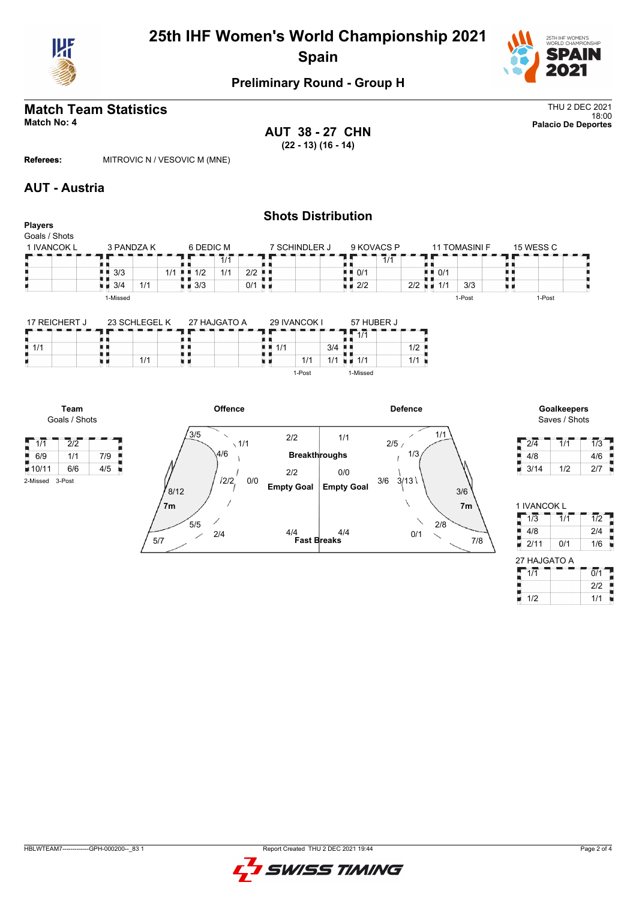



### **Preliminary Round - Group H**

# **Match Team Statistics** Thu 2 DEC 2021

**AUT 38 - 27 CHN (22 - 13) (16 - 14)**

18:00 **Match No: 4 Palacio De Deportes**

**Referees:** MITROVIC N / VESOVIC M (MNE)

#### **AUT - Austria**

**Team** Goals / Shots

 $1/1$   $\frac{1}{2}$   $\frac{1}{2}$ 

2-Missed 3-Post

| <b>Players</b><br>Goals / Shots |            |            |     |                    |                 |                      | <b>Shots Distribution</b> |                                   |     |                          |     |                      |           |  |
|---------------------------------|------------|------------|-----|--------------------|-----------------|----------------------|---------------------------|-----------------------------------|-----|--------------------------|-----|----------------------|-----------|--|
| 1 IVANCOK L                     |            | 3 PANDZA K |     | 6 DEDIC M          |                 |                      | 7 SCHINDLER J             | 9 KOVACS P                        |     |                          |     | <b>11 TOMASINI F</b> | 15 WESS C |  |
|                                 |            |            |     |                    | 1/1             |                      |                           |                                   | 1/1 |                          |     |                      |           |  |
|                                 | 3/3<br>. . |            | 1/1 | 1/2<br>. .         | 1/1             | 2/2                  |                           | $\blacksquare$ $\blacksquare$ 0/1 |     | . .                      | 0/1 |                      |           |  |
|                                 | 3/4<br>9 H | 1/1        |     | $\blacksquare$ 3/3 |                 | $0/1$ $\blacksquare$ |                           | $\blacksquare$ 2/2                |     | $2/2$ $\blacksquare$ 1/1 |     | 3/3                  |           |  |
|                                 | 1-Missed   |            |     |                    |                 |                      |                           |                                   |     |                          |     | 1-Post               | 1-Post    |  |
|                                 |            |            |     |                    | $\cdots \cdots$ |                      | <b>AA BILIAAIII</b>       | ---------                         |     |                          |     |                      |           |  |

| 17 REICHERT J | 23 SCHLEGEL K | 27 HAJGATO A | 29 IVANCOK I | 57 HUBER J                    |
|---------------|---------------|--------------|--------------|-------------------------------|
|               |               |              |              | $\overline{A}$ $\overline{A}$ |
|               |               |              | 3/4<br>1/1   | 1/2                           |
|               | 1/1           |              | 1/1<br>1/1   | 1/1<br>1/1                    |
|               |               |              | 1-Post       | I-Missed                      |



Saves / Shots

| า/ั⊿ |     | 1/3 |
|------|-----|-----|
| 4/8  |     | 4/6 |
| 3/14 | 1/2 | 217 |

| 1/2 |
|-----|
| 2/4 |
| 1/6 |
|     |

| 27 HAJGATO A |     |
|--------------|-----|
| 1/1          | 0/1 |
|              | 212 |
| 1/2          | 1/1 |

#### HBLWTEAM7-------------GPH-000200--\_83 1 Report Created THU 2 DEC 2021 19:44

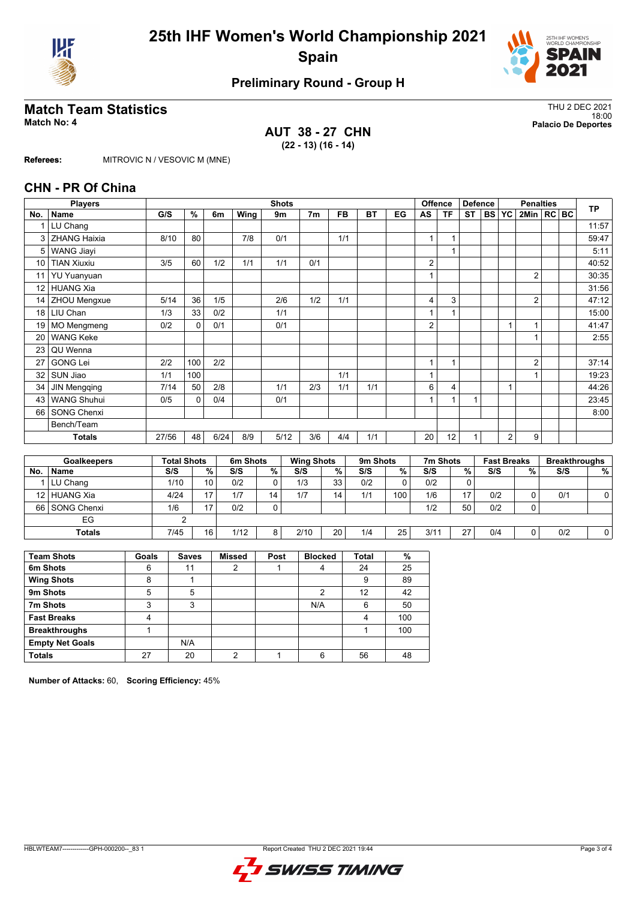



### **Preliminary Round - Group H**

# **Match Team Statistics** Thu 2 DEC 2021

**AUT 38 - 27 CHN (22 - 13) (16 - 14)**

18:00 **Match No: 4 Palacio De Deportes**

**Referees:** MITROVIC N / VESOVIC M (MNE)

#### **CHN - PR Of China**

|                      | <b>Players</b>                                                           |      |                    |                         |          | <b>Shots</b> |     |                   |           |          |              | <b>Offence</b><br><b>Defence</b><br><b>Penalties</b> |           |               |           |                    |                |  | <b>TP</b> |                      |
|----------------------|--------------------------------------------------------------------------|------|--------------------|-------------------------|----------|--------------|-----|-------------------|-----------|----------|--------------|------------------------------------------------------|-----------|---------------|-----------|--------------------|----------------|--|-----------|----------------------|
| No.                  | <b>Name</b>                                                              | G/S  | %                  | 6m                      | Wing     | 9m           |     | 7 <sub>m</sub>    | <b>FB</b> | ВT       | EG           | AS                                                   | <b>TF</b> | <b>ST</b>     | <b>BS</b> | YC                 | 2Min   RC   BC |  |           |                      |
|                      | LU Chang                                                                 |      |                    |                         |          |              |     |                   |           |          |              |                                                      |           |               |           |                    |                |  |           | 11:57                |
| 3                    | <b>ZHANG Haixia</b>                                                      | 8/10 | 80                 |                         | 7/8      | 0/1          |     |                   | 1/1       |          |              | 1                                                    | 1         |               |           |                    |                |  |           | 59:47                |
| 5                    | <b>WANG Jiayi</b>                                                        |      |                    |                         |          |              |     |                   |           |          |              |                                                      |           |               |           |                    |                |  |           | 5:11                 |
| 10                   | <b>TIAN Xiuxiu</b>                                                       | 3/5  | 60                 | 1/2                     | 1/1      | 1/1          |     | 0/1               |           |          |              | $\overline{c}$                                       |           |               |           |                    |                |  |           | 40:52                |
| 11                   | <b>YU Yuanyuan</b>                                                       |      |                    |                         |          |              |     |                   |           |          |              |                                                      |           |               |           |                    | $\overline{2}$ |  |           | 30:35                |
| 12 <sup>2</sup>      | <b>HUANG Xia</b>                                                         |      |                    |                         |          |              |     |                   |           |          |              |                                                      |           |               |           |                    |                |  |           | 31:56                |
| 14                   | ZHOU Mengxue                                                             | 5/14 | 36                 | 1/5                     |          | 2/6          |     | 1/2               | 1/1       |          |              | 4                                                    | 3         |               |           |                    | $\overline{2}$ |  |           | 47:12                |
| 18 <sup>1</sup>      | LIU Chan                                                                 | 1/3  | 33                 | 0/2                     |          | 1/1          |     |                   |           |          |              |                                                      |           |               |           |                    |                |  |           | 15:00                |
| 19                   | <b>MO Mengmeng</b>                                                       | 0/2  | $\Omega$           | 0/1                     |          | 0/1          |     |                   |           |          |              | 2                                                    |           |               |           |                    | 1              |  |           | 41:47                |
| 20                   | <b>WANG Keke</b>                                                         |      |                    |                         |          |              |     |                   |           |          |              |                                                      |           |               |           |                    |                |  |           | 2:55                 |
| 23                   | QU Wenna                                                                 |      |                    |                         |          |              |     |                   |           |          |              |                                                      |           |               |           |                    |                |  |           |                      |
| 27                   | <b>GONG Lei</b>                                                          | 2/2  | 100                | 2/2                     |          |              |     |                   |           |          |              | 1                                                    | 1         |               |           |                    | $\overline{2}$ |  |           | 37:14                |
| 32                   | SUN Jiao                                                                 | 1/1  | 100                |                         |          |              |     |                   | 1/1       |          |              |                                                      |           |               |           |                    |                |  |           | 19:23                |
| 34                   | <b>JIN Mengqing</b>                                                      | 7/14 | 50                 | 2/8                     |          | 1/1          |     | 2/3               | 1/1       | 1/1      |              | 6                                                    | 4         |               |           |                    |                |  |           | 44:26                |
| 43                   | <b>WANG Shuhui</b>                                                       | 0/5  | 0                  | 0/4                     |          | 0/1          |     |                   |           |          |              |                                                      |           | 4             |           |                    |                |  |           | 23:45                |
| 66                   | <b>SONG Chenxi</b>                                                       |      |                    |                         |          |              |     |                   |           |          |              |                                                      |           |               |           |                    |                |  |           | 8:00                 |
|                      | Bench/Team                                                               |      |                    |                         |          |              |     |                   |           |          |              |                                                      |           |               |           |                    |                |  |           |                      |
|                      | 6/24<br>5/12<br>3/6<br>4/4<br>1/1<br><b>Totals</b><br>27/56<br>48<br>8/9 |      |                    |                         |          |              |     | 20                | 12        |          |              | 2                                                    | 9         |               |           |                    |                |  |           |                      |
|                      |                                                                          |      |                    |                         |          |              |     |                   |           |          |              |                                                      |           |               |           |                    |                |  |           |                      |
|                      | <b>Goalkeepers</b>                                                       |      | <b>Total Shots</b> |                         | 6m Shots |              |     | <b>Wing Shots</b> |           | 9m Shots |              |                                                      | 7m Shots  |               |           | <b>Fast Breaks</b> |                |  |           | <b>Breakthroughs</b> |
| <b>N<sub>n</sub></b> | <b>Namo</b>                                                              | C/C  |                    | $\mathbf{O}/\mathbf{O}$ | C/C      | $\mathbf{0}$ | C/C |                   | 0/        | C/C      | $\mathbf{0}$ | C/C                                                  |           | $\mathbf{0}I$ | C/C       |                    | $\mathbf{0}$   |  | C/C       | 0/                   |

|     | Goalkeepers    | Total Shots |                 | 6m Shots |    | <b>Wing Shots</b> |    | <b>9m Shots</b> |     | 7m Shots |    | <b>Fast Breaks</b> |   | <b>Breakthroughs</b> |   |
|-----|----------------|-------------|-----------------|----------|----|-------------------|----|-----------------|-----|----------|----|--------------------|---|----------------------|---|
| No. | <b>Name</b>    | S/S         | %               | S/S      | %  | S/S               | %  | S/S             | %   | S/S      | %  | S/S                | % | S/S                  | % |
|     | LU Chang       | 1/10        | 10              | 0/2      |    | 1/3               | 33 | 0/2             | 0   | 0/2      |    |                    |   |                      |   |
|     | 12 HUANG Xia   | 4/24        | 17              | 1/7      | 14 | 1/7               | 14 | 1/1             | 100 | 1/6      | 17 | 0/2                |   | 0/1                  |   |
|     | 66 SONG Chenxi | 1/6         | 17              | 0/2      | ⌒  |                   |    |                 |     | 1/2      | 50 | 0/2                |   |                      |   |
|     | EG             |             |                 |          |    |                   |    |                 |     |          |    |                    |   |                      |   |
|     | <b>Totals</b>  | 7/45        | 16 <sub>1</sub> | 1/12     | 8  | 2/10              | 20 | 1/4             | 25  | 3/11     | 27 | 0/4                |   | 0/2                  |   |
|     |                |             |                 |          |    |                   |    |                 |     |          |    |                    |   |                      |   |

| <b>Team Shots</b>      | Goals | <b>Saves</b> | <b>Missed</b> | Post | <b>Blocked</b> | <b>Total</b> | %   |
|------------------------|-------|--------------|---------------|------|----------------|--------------|-----|
| 6m Shots               | 6     | 11           | 2             |      | 4              | 24           | 25  |
| <b>Wing Shots</b>      | 8     |              |               |      |                | 9            | 89  |
| 9m Shots               | 5     | 5            |               |      | 2              | 12           | 42  |
| 7m Shots               | 3     | 3            |               |      | N/A            | 6            | 50  |
| <b>Fast Breaks</b>     | 4     |              |               |      |                | 4            | 100 |
| <b>Breakthroughs</b>   |       |              |               |      |                |              | 100 |
| <b>Empty Net Goals</b> |       | N/A          |               |      |                |              |     |
| <b>Totals</b>          | 27    | 20           | ◠             |      | 6              | 56           | 48  |

**Number of Attacks:** 60, **Scoring Efficiency:** 45%